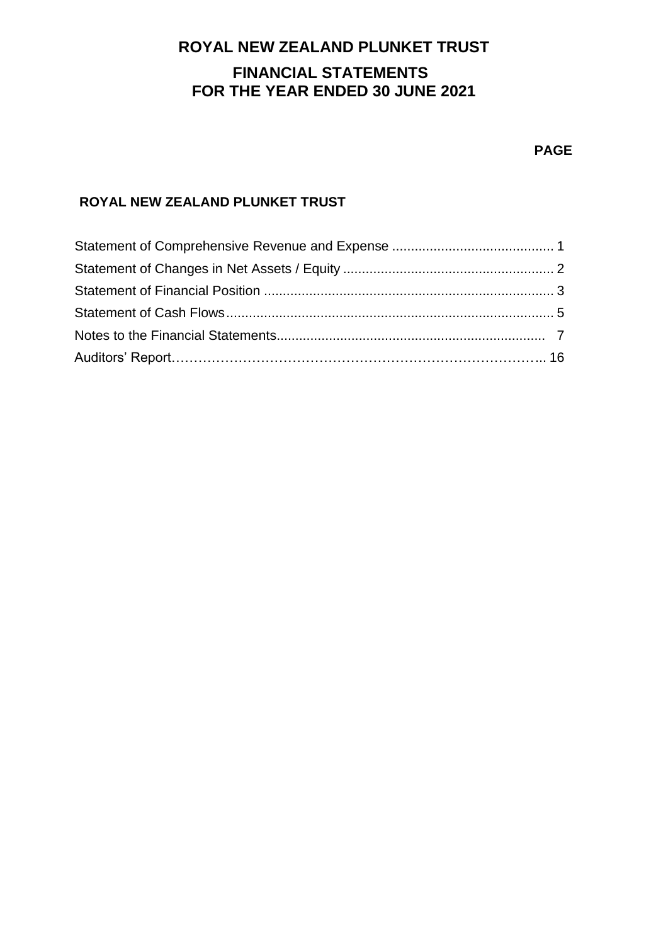# **ROYAL NEW ZEALAND PLUNKET TRUST FINANCIAL STATEMENTS FOR THE YEAR ENDED 30 JUNE 2021**

#### **PAGE**

## **ROYAL NEW ZEALAND PLUNKET TRUST**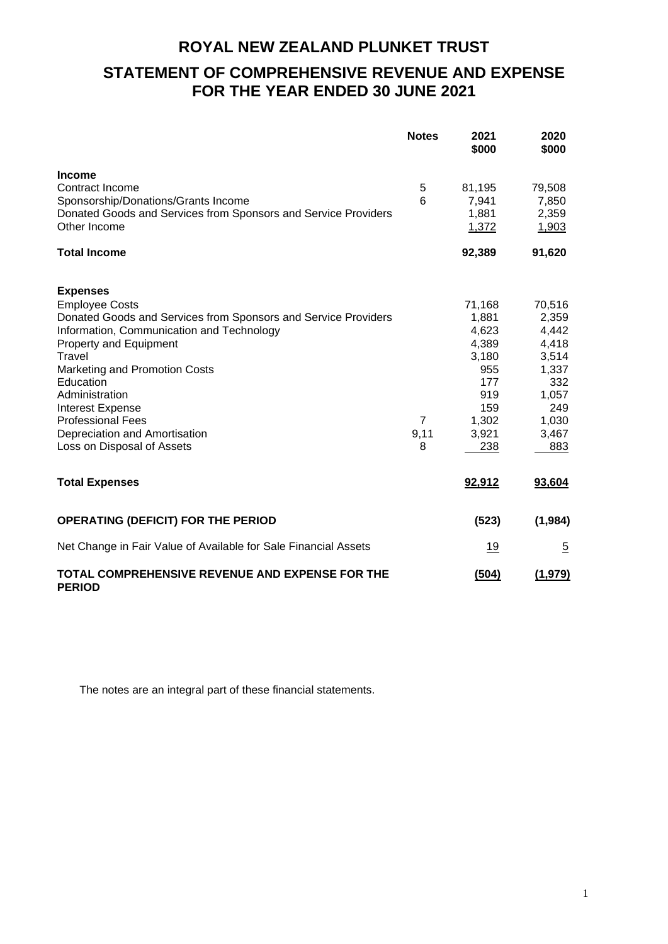# **ROYAL NEW ZEALAND PLUNKET TRUST STATEMENT OF COMPREHENSIVE REVENUE AND EXPENSE FOR THE YEAR ENDED 30 JUNE 2021**

|                                                                                | <b>Notes</b>   | 2021<br>\$000  | 2020<br>\$000  |
|--------------------------------------------------------------------------------|----------------|----------------|----------------|
| <b>Income</b>                                                                  |                |                |                |
| Contract Income                                                                | 5              | 81,195         | 79,508         |
| Sponsorship/Donations/Grants Income                                            | 6              | 7,941          | 7,850          |
| Donated Goods and Services from Sponsors and Service Providers<br>Other Income |                | 1,881<br>1,372 | 2,359<br>1,903 |
| <b>Total Income</b>                                                            |                | 92,389         | 91,620         |
| <b>Expenses</b>                                                                |                |                |                |
| <b>Employee Costs</b>                                                          |                | 71,168         | 70,516         |
| Donated Goods and Services from Sponsors and Service Providers                 |                | 1,881          | 2,359          |
| Information, Communication and Technology                                      |                | 4,623          | 4,442          |
| <b>Property and Equipment</b>                                                  |                | 4,389          | 4,418          |
| Travel                                                                         |                | 3,180          | 3,514          |
| Marketing and Promotion Costs                                                  |                | 955            | 1,337          |
| Education                                                                      |                | 177            | 332            |
| Administration                                                                 |                | 919            | 1,057          |
| <b>Interest Expense</b>                                                        |                | 159            | 249            |
| <b>Professional Fees</b>                                                       | $\overline{7}$ | 1,302          | 1,030          |
| Depreciation and Amortisation                                                  | 9,11           | 3,921          | 3,467          |
| Loss on Disposal of Assets                                                     | 8              | 238            | 883            |
| <b>Total Expenses</b>                                                          |                | 92,912         | 93,604         |
| <b>OPERATING (DEFICIT) FOR THE PERIOD</b>                                      |                | (523)          | (1, 984)       |
| Net Change in Fair Value of Available for Sale Financial Assets                |                | <u>19</u>      | $\overline{5}$ |
| TOTAL COMPREHENSIVE REVENUE AND EXPENSE FOR THE<br><b>PERIOD</b>               |                | (504)          | (1,979)        |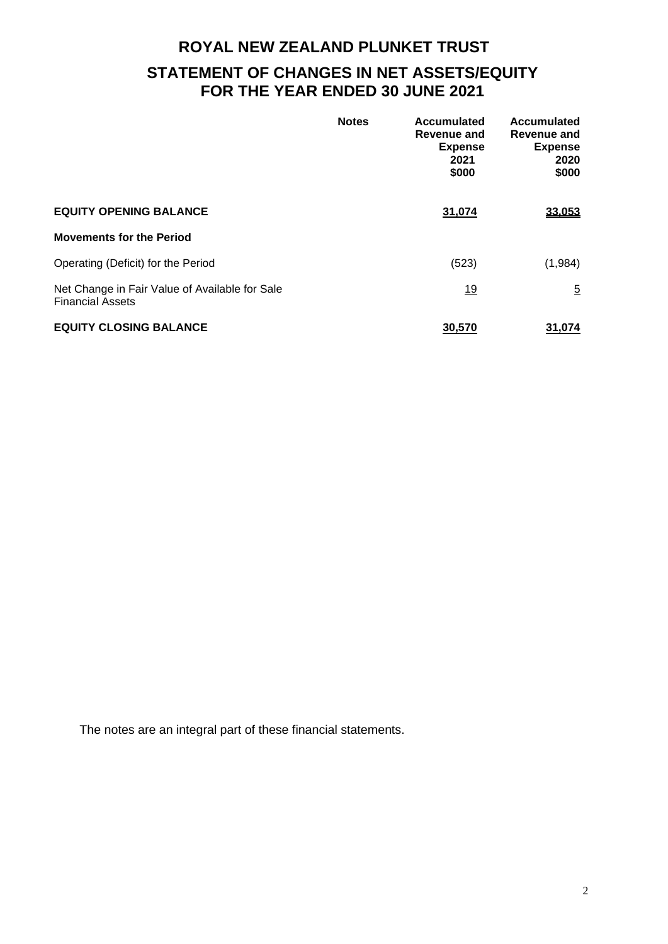# **ROYAL NEW ZEALAND PLUNKET TRUST STATEMENT OF CHANGES IN NET ASSETS/EQUITY FOR THE YEAR ENDED 30 JUNE 2021**

|                                                                           | <b>Notes</b> | Accumulated<br>Revenue and<br><b>Expense</b><br>2021<br>\$000 | <b>Accumulated</b><br>Revenue and<br><b>Expense</b><br>2020<br>\$000 |
|---------------------------------------------------------------------------|--------------|---------------------------------------------------------------|----------------------------------------------------------------------|
| <b>EQUITY OPENING BALANCE</b>                                             |              | 31,074                                                        | 33,053                                                               |
| <b>Movements for the Period</b>                                           |              |                                                               |                                                                      |
| Operating (Deficit) for the Period                                        |              | (523)                                                         | (1,984)                                                              |
| Net Change in Fair Value of Available for Sale<br><b>Financial Assets</b> |              | <u>19</u>                                                     | $\overline{5}$                                                       |
| <b>EQUITY CLOSING BALANCE</b>                                             |              | 30.570                                                        | 31,074                                                               |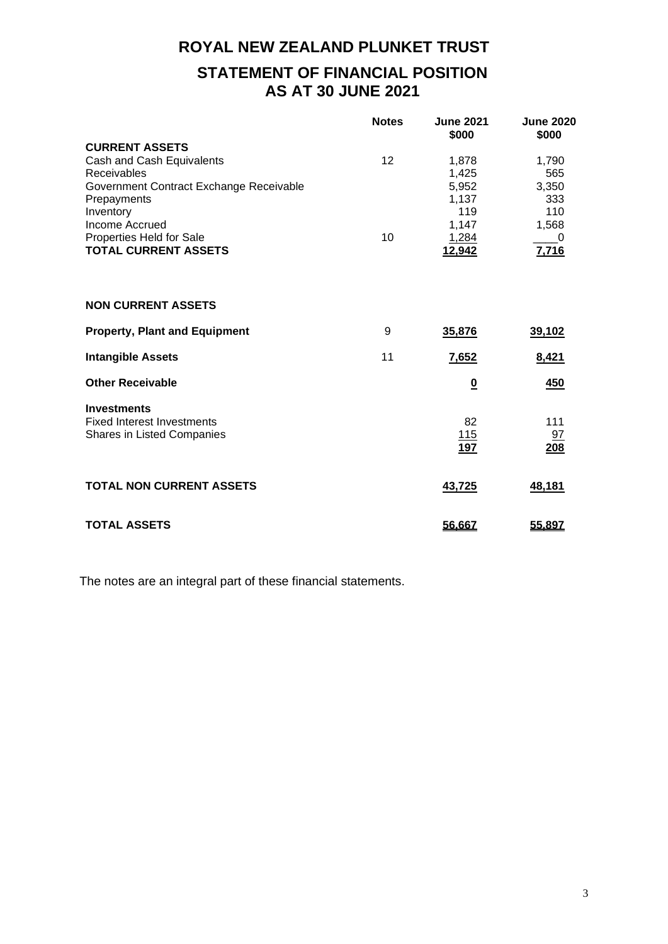# **ROYAL NEW ZEALAND PLUNKET TRUST STATEMENT OF FINANCIAL POSITION AS AT 30 JUNE 2021**

|                                                         | <b>Notes</b> | <b>June 2021</b><br>\$000 | <b>June 2020</b><br>\$000 |
|---------------------------------------------------------|--------------|---------------------------|---------------------------|
| <b>CURRENT ASSETS</b>                                   |              |                           |                           |
| Cash and Cash Equivalents                               | 12           | 1,878                     | 1,790                     |
| Receivables                                             |              | 1,425                     | 565                       |
| Government Contract Exchange Receivable                 |              | 5,952                     | 3,350                     |
| Prepayments                                             |              | 1,137                     | 333                       |
| Inventory                                               |              | 119                       | 110                       |
| Income Accrued                                          |              | 1,147                     | 1,568                     |
|                                                         | 10           |                           |                           |
| Properties Held for Sale<br><b>TOTAL CURRENT ASSETS</b> |              | 1,284                     | 0                         |
|                                                         |              | 12,942                    | 7,716                     |
| <b>NON CURRENT ASSETS</b>                               |              |                           |                           |
| <b>Property, Plant and Equipment</b>                    | 9            | 35,876                    | 39,102                    |
| <b>Intangible Assets</b>                                | 11           | 7,652                     | 8,421                     |
| <b>Other Receivable</b>                                 |              | $\overline{\mathbf{0}}$   | 450                       |
| <b>Investments</b>                                      |              |                           |                           |
| <b>Fixed Interest Investments</b>                       |              | 82                        | 111                       |
| Shares in Listed Companies                              |              | 115                       | 97                        |
|                                                         |              | <b>197</b>                | 208                       |
| <b>TOTAL NON CURRENT ASSETS</b>                         |              | 43,725                    | 48,181                    |
| <b>TOTAL ASSETS</b>                                     |              | 56.667                    | 55.897                    |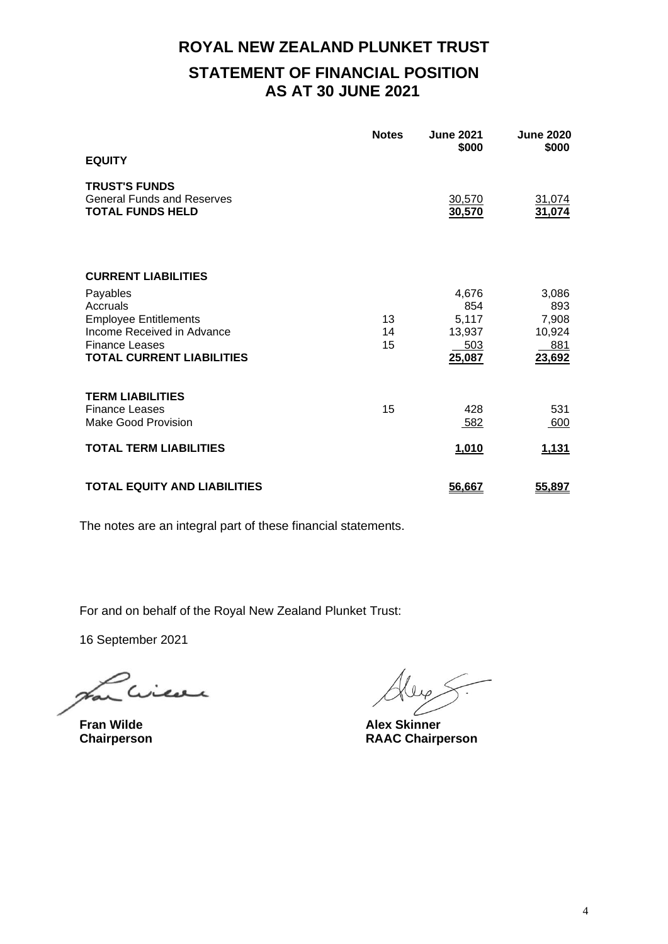# **ROYAL NEW ZEALAND PLUNKET TRUST STATEMENT OF FINANCIAL POSITION AS AT 30 JUNE 2021**

|                                                                                                                                                                               | <b>Notes</b>   | <b>June 2021</b><br>\$000                        | <b>June 2020</b><br>\$000                        |
|-------------------------------------------------------------------------------------------------------------------------------------------------------------------------------|----------------|--------------------------------------------------|--------------------------------------------------|
| <b>EQUITY</b>                                                                                                                                                                 |                |                                                  |                                                  |
| <b>TRUST'S FUNDS</b><br><b>General Funds and Reserves</b><br><b>TOTAL FUNDS HELD</b>                                                                                          |                | 30,570<br>30,570                                 | 31,074<br>31,074                                 |
| <b>CURRENT LIABILITIES</b><br>Payables<br>Accruals<br><b>Employee Entitlements</b><br>Income Received in Advance<br><b>Finance Leases</b><br><b>TOTAL CURRENT LIABILITIES</b> | 13<br>14<br>15 | 4,676<br>854<br>5,117<br>13,937<br>503<br>25,087 | 3,086<br>893<br>7,908<br>10,924<br>881<br>23,692 |
| <b>TERM LIABILITIES</b><br><b>Finance Leases</b><br><b>Make Good Provision</b>                                                                                                | 15             | 428<br>582                                       | 531<br>600                                       |
| <b>TOTAL TERM LIABILITIES</b>                                                                                                                                                 |                | 1,010                                            | 1,131                                            |
| <b>TOTAL EQUITY AND LIABILITIES</b>                                                                                                                                           |                | 56,667                                           | 55,897                                           |

The notes are an integral part of these financial statements.

For and on behalf of the Royal New Zealand Plunket Trust:

16 September 2021

icor

**Fran Wilde Alex Skinner**

**Chairperson RAAC Chairperson**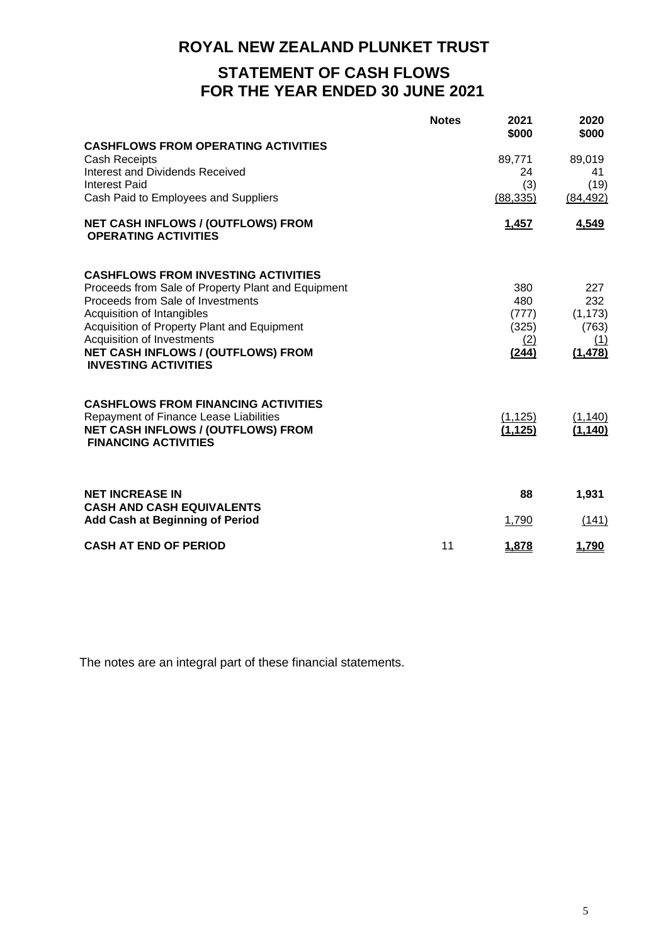# **STATEMENT OF CASH FLOWS FOR THE YEAR ENDED 30 JUNE 2021**

|                                                                          | <b>Notes</b> | 2021<br>\$000 | 2020<br>\$000   |
|--------------------------------------------------------------------------|--------------|---------------|-----------------|
| <b>CASHFLOWS FROM OPERATING ACTIVITIES</b>                               |              |               |                 |
| <b>Cash Receipts</b>                                                     |              | 89,771<br>24  | 89,019          |
| <b>Interest and Dividends Received</b><br><b>Interest Paid</b>           |              | (3)           | 41<br>(19)      |
| Cash Paid to Employees and Suppliers                                     |              | (88, 335)     | (84, 492)       |
| NET CASH INFLOWS / (OUTFLOWS) FROM<br><b>OPERATING ACTIVITIES</b>        |              | <u>1,457</u>  | 4,549           |
| <b>CASHFLOWS FROM INVESTING ACTIVITIES</b>                               |              |               |                 |
| Proceeds from Sale of Property Plant and Equipment                       |              | 380           | 227             |
| Proceeds from Sale of Investments<br>Acquisition of Intangibles          |              | 480<br>(777)  | 232<br>(1, 173) |
| Acquisition of Property Plant and Equipment                              |              | (325)         | (763)           |
| Acquisition of Investments                                               |              | (2)           | (1)             |
| NET CASH INFLOWS / (OUTFLOWS) FROM<br><b>INVESTING ACTIVITIES</b>        |              | (244)         | (1, 478)        |
| <b>CASHFLOWS FROM FINANCING ACTIVITIES</b>                               |              |               |                 |
| Repayment of Finance Lease Liabilities                                   |              | (1, 125)      | (1, 140)        |
| <b>NET CASH INFLOWS / (OUTFLOWS) FROM</b><br><b>FINANCING ACTIVITIES</b> |              | (1, 125)      | (1, 140)        |
|                                                                          |              |               |                 |
| <b>NET INCREASE IN</b><br><b>CASH AND CASH EQUIVALENTS</b>               |              | 88            | 1,931           |
| <b>Add Cash at Beginning of Period</b>                                   |              | 1,790         | (141)           |
| <b>CASH AT END OF PERIOD</b>                                             | 11           | 1,878         | 1,790           |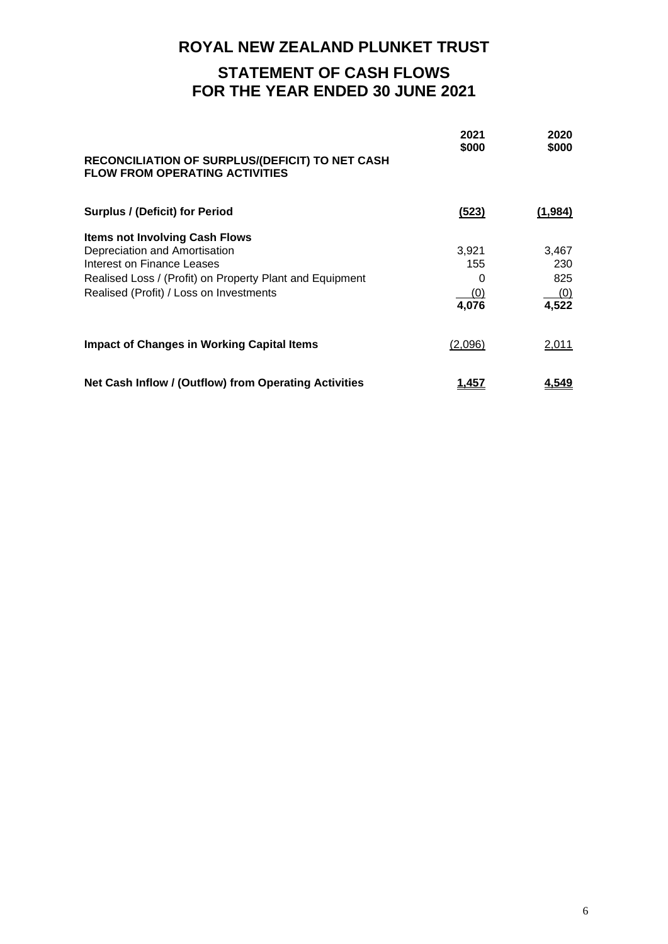# **STATEMENT OF CASH FLOWS FOR THE YEAR ENDED 30 JUNE 2021**

| RECONCILIATION OF SURPLUS/(DEFICIT) TO NET CASH<br><b>FLOW FROM OPERATING ACTIVITIES</b> | 2021<br>\$000 | 2020<br>\$000       |
|------------------------------------------------------------------------------------------|---------------|---------------------|
| <b>Surplus / (Deficit) for Period</b>                                                    | (523)         | (1,984)             |
| <b>Items not Involving Cash Flows</b>                                                    |               |                     |
| Depreciation and Amortisation                                                            | 3,921         | 3,467               |
| Interest on Finance Leases                                                               | 155           | 230                 |
| Realised Loss / (Profit) on Property Plant and Equipment                                 | 0             | 825                 |
| Realised (Profit) / Loss on Investments                                                  | <u>(0)</u>    | $\frac{(0)}{4,522}$ |
|                                                                                          | 4,076         |                     |
| <b>Impact of Changes in Working Capital Items</b>                                        | (2,096)       | 2,011               |
| Net Cash Inflow / (Outflow) from Operating Activities                                    | <u>1,457</u>  | <u>4.549</u>        |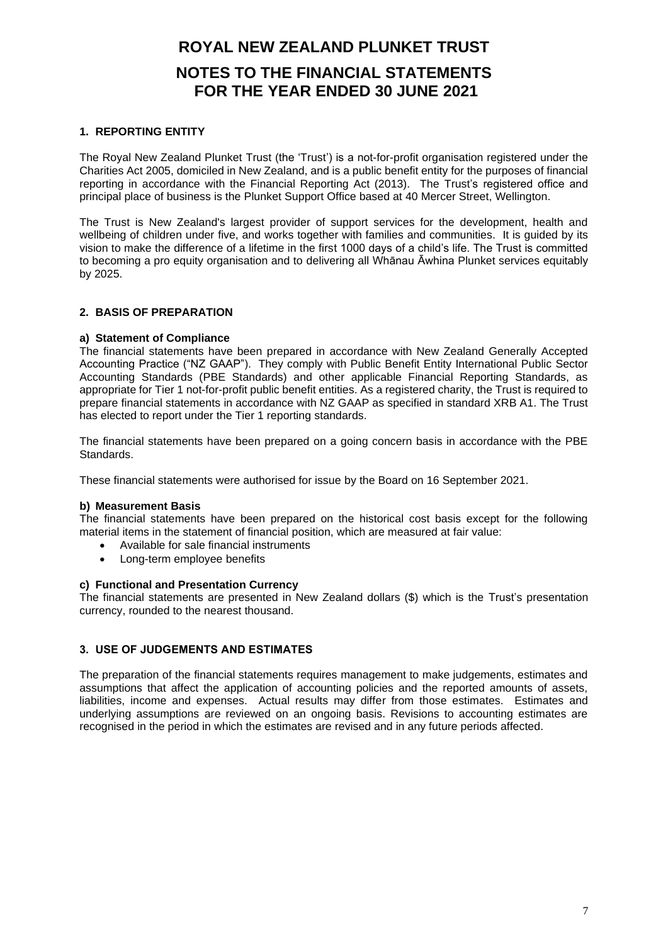# **ROYAL NEW ZEALAND PLUNKET TRUST NOTES TO THE FINANCIAL STATEMENTS FOR THE YEAR ENDED 30 JUNE 2021**

#### **1. REPORTING ENTITY**

The Royal New Zealand Plunket Trust (the 'Trust') is a not-for-profit organisation registered under the Charities Act 2005, domiciled in New Zealand, and is a public benefit entity for the purposes of financial reporting in accordance with the Financial Reporting Act (2013). The Trust's registered office and principal place of business is the Plunket Support Office based at 40 Mercer Street, Wellington.

The Trust is New Zealand's largest provider of support services for the development, health and wellbeing of children under five, and works together with families and communities. It is guided by its vision to make the difference of a lifetime in the first 1000 days of a child's life. The Trust is committed to becoming a pro equity organisation and to delivering all Whānau Āwhina Plunket services equitably by 2025.

#### **2. BASIS OF PREPARATION**

#### **a) Statement of Compliance**

The financial statements have been prepared in accordance with New Zealand Generally Accepted Accounting Practice ("NZ GAAP"). They comply with Public Benefit Entity International Public Sector Accounting Standards (PBE Standards) and other applicable Financial Reporting Standards, as appropriate for Tier 1 not-for-profit public benefit entities. As a registered charity, the Trust is required to prepare financial statements in accordance with NZ GAAP as specified in standard XRB A1. The Trust has elected to report under the Tier 1 reporting standards.

The financial statements have been prepared on a going concern basis in accordance with the PBE Standards.

These financial statements were authorised for issue by the Board on 16 September 2021.

#### **b) Measurement Basis**

The financial statements have been prepared on the historical cost basis except for the following material items in the statement of financial position, which are measured at fair value:

- Available for sale financial instruments
- Long-term employee benefits

#### **c) Functional and Presentation Currency**

The financial statements are presented in New Zealand dollars (\$) which is the Trust's presentation currency, rounded to the nearest thousand.

#### **3. USE OF JUDGEMENTS AND ESTIMATES**

The preparation of the financial statements requires management to make judgements, estimates and assumptions that affect the application of accounting policies and the reported amounts of assets, liabilities, income and expenses. Actual results may differ from those estimates. Estimates and underlying assumptions are reviewed on an ongoing basis. Revisions to accounting estimates are recognised in the period in which the estimates are revised and in any future periods affected.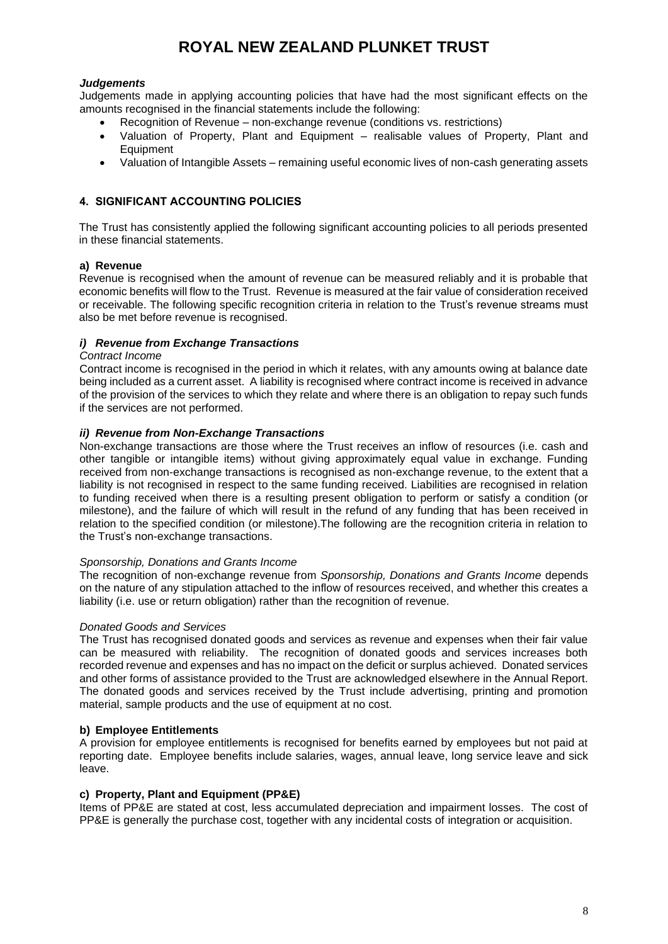#### *Judgements*

Judgements made in applying accounting policies that have had the most significant effects on the amounts recognised in the financial statements include the following:

- Recognition of Revenue non-exchange revenue (conditions vs. restrictions)
- Valuation of Property, Plant and Equipment realisable values of Property, Plant and Equipment
- Valuation of Intangible Assets remaining useful economic lives of non-cash generating assets

#### **4. SIGNIFICANT ACCOUNTING POLICIES**

The Trust has consistently applied the following significant accounting policies to all periods presented in these financial statements.

#### **a) Revenue**

Revenue is recognised when the amount of revenue can be measured reliably and it is probable that economic benefits will flow to the Trust. Revenue is measured at the fair value of consideration received or receivable. The following specific recognition criteria in relation to the Trust's revenue streams must also be met before revenue is recognised.

#### *i) Revenue from Exchange Transactions*

#### *Contract Income*

Contract income is recognised in the period in which it relates, with any amounts owing at balance date being included as a current asset. A liability is recognised where contract income is received in advance of the provision of the services to which they relate and where there is an obligation to repay such funds if the services are not performed.

#### *ii) Revenue from Non-Exchange Transactions*

Non-exchange transactions are those where the Trust receives an inflow of resources (i.e. cash and other tangible or intangible items) without giving approximately equal value in exchange. Funding received from non-exchange transactions is recognised as non-exchange revenue, to the extent that a liability is not recognised in respect to the same funding received. Liabilities are recognised in relation to funding received when there is a resulting present obligation to perform or satisfy a condition (or milestone), and the failure of which will result in the refund of any funding that has been received in relation to the specified condition (or milestone).The following are the recognition criteria in relation to the Trust's non-exchange transactions.

#### *Sponsorship, Donations and Grants Income*

The recognition of non-exchange revenue from *Sponsorship, Donations and Grants Income* depends on the nature of any stipulation attached to the inflow of resources received, and whether this creates a liability (i.e. use or return obligation) rather than the recognition of revenue.

#### *Donated Goods and Services*

The Trust has recognised donated goods and services as revenue and expenses when their fair value can be measured with reliability. The recognition of donated goods and services increases both recorded revenue and expenses and has no impact on the deficit or surplus achieved. Donated services and other forms of assistance provided to the Trust are acknowledged elsewhere in the Annual Report. The donated goods and services received by the Trust include advertising, printing and promotion material, sample products and the use of equipment at no cost.

#### **b) Employee Entitlements**

A provision for employee entitlements is recognised for benefits earned by employees but not paid at reporting date. Employee benefits include salaries, wages, annual leave, long service leave and sick leave.

#### **c) Property, Plant and Equipment (PP&E)**

Items of PP&E are stated at cost, less accumulated depreciation and impairment losses. The cost of PP&E is generally the purchase cost, together with any incidental costs of integration or acquisition.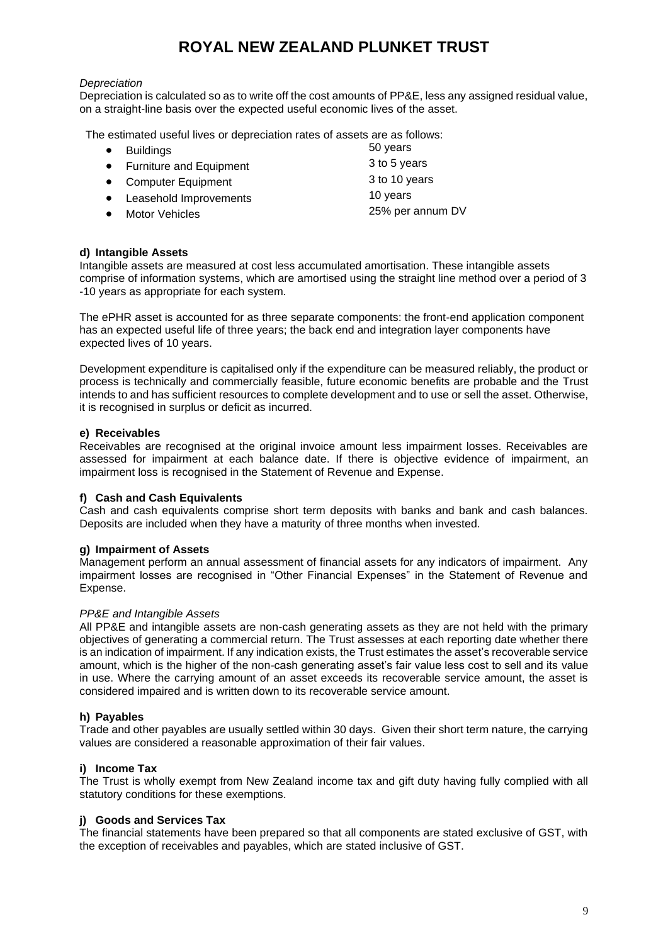#### *Depreciation*

Depreciation is calculated so as to write off the cost amounts of PP&E, less any assigned residual value, on a straight-line basis over the expected useful economic lives of the asset.

The estimated useful lives or depreciation rates of assets are as follows:

- 
- **Fundings**<br> **Furniture and Foulpment**<br> **Eurniture and Foulpment**<br> **S** to 5 years • Furniture and Equipment 3 to 5 years<br>• Computer Equipment 3 to 10 years
- Computer Equipment 3 to 10 y<br>Leasehold Improvements 10 years 3 to 10 years
- Leasehold Improvements
- 

• Motor Vehicles 25% per annum DV

#### **d) Intangible Assets**

Intangible assets are measured at cost less accumulated amortisation. These intangible assets comprise of information systems, which are amortised using the straight line method over a period of 3 -10 years as appropriate for each system.

The ePHR asset is accounted for as three separate components: the front-end application component has an expected useful life of three years; the back end and integration layer components have expected lives of 10 years.

Development expenditure is capitalised only if the expenditure can be measured reliably, the product or process is technically and commercially feasible, future economic benefits are probable and the Trust intends to and has sufficient resources to complete development and to use or sell the asset. Otherwise, it is recognised in surplus or deficit as incurred.

#### **e) Receivables**

Receivables are recognised at the original invoice amount less impairment losses. Receivables are assessed for impairment at each balance date. If there is objective evidence of impairment, an impairment loss is recognised in the Statement of Revenue and Expense.

#### **f) Cash and Cash Equivalents**

Cash and cash equivalents comprise short term deposits with banks and bank and cash balances. Deposits are included when they have a maturity of three months when invested.

#### **g) Impairment of Assets**

Management perform an annual assessment of financial assets for any indicators of impairment. Any impairment losses are recognised in "Other Financial Expenses" in the Statement of Revenue and Expense.

#### *PP&E and Intangible Assets*

All PP&E and intangible assets are non-cash generating assets as they are not held with the primary objectives of generating a commercial return. The Trust assesses at each reporting date whether there is an indication of impairment. If any indication exists, the Trust estimates the asset's recoverable service amount, which is the higher of the non-cash generating asset's fair value less cost to sell and its value in use. Where the carrying amount of an asset exceeds its recoverable service amount, the asset is considered impaired and is written down to its recoverable service amount.

#### **h) Payables**

Trade and other payables are usually settled within 30 days. Given their short term nature, the carrying values are considered a reasonable approximation of their fair values.

#### **i) Income Tax**

The Trust is wholly exempt from New Zealand income tax and gift duty having fully complied with all statutory conditions for these exemptions.

#### **j) Goods and Services Tax**

The financial statements have been prepared so that all components are stated exclusive of GST, with the exception of receivables and payables, which are stated inclusive of GST.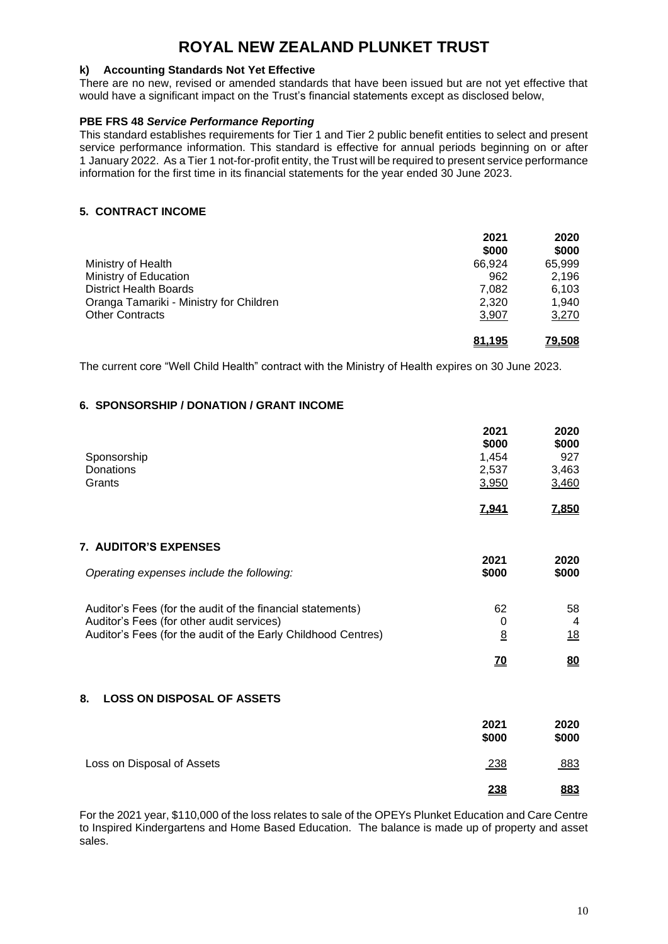#### **k) Accounting Standards Not Yet Effective**

There are no new, revised or amended standards that have been issued but are not yet effective that would have a significant impact on the Trust's financial statements except as disclosed below,

#### **PBE FRS 48** *Service Performance Reporting*

This standard establishes requirements for Tier 1 and Tier 2 public benefit entities to select and present service performance information. This standard is effective for annual periods beginning on or after 1 January 2022. As a Tier 1 not-for-profit entity, the Trust will be required to present service performance information for the first time in its financial statements for the year ended 30 June 2023.

#### **5. CONTRACT INCOME**

|                                         | 2021<br>\$000 | 2020<br>\$000 |
|-----------------------------------------|---------------|---------------|
| Ministry of Health                      | 66.924        | 65,999        |
| Ministry of Education                   | 962           | 2,196         |
| <b>District Health Boards</b>           | 7.082         | 6,103         |
| Oranga Tamariki - Ministry for Children | 2.320         | 1.940         |
| <b>Other Contracts</b>                  | 3,907         | 3,270         |
|                                         | 81,195        | 79,508        |

The current core "Well Child Health" contract with the Ministry of Health expires on 30 June 2023.

#### **6. SPONSORSHIP / DONATION / GRANT INCOME**

|                                                               | 2021       | 2020         |
|---------------------------------------------------------------|------------|--------------|
|                                                               | \$000      | \$000        |
| Sponsorship                                                   | 1,454      | 927          |
| <b>Donations</b>                                              | 2,537      | 3,463        |
| Grants                                                        | 3,950      | 3,460        |
|                                                               | 7,941      | <u>7,850</u> |
| <b>7. AUDITOR'S EXPENSES</b>                                  |            |              |
|                                                               | 2021       | 2020         |
| Operating expenses include the following:                     | \$000      | \$000        |
| Auditor's Fees (for the audit of the financial statements)    | 62         | 58           |
| Auditor's Fees (for other audit services)                     | 0          | 4            |
| Auditor's Fees (for the audit of the Early Childhood Centres) | 8          | <u>18</u>    |
|                                                               | <u>70</u>  | 80           |
| 8.<br><b>LOSS ON DISPOSAL OF ASSETS</b>                       |            |              |
|                                                               | 2021       | 2020         |
|                                                               | \$000      | \$000        |
| Loss on Disposal of Assets                                    | 238        | 883          |
|                                                               | <u>238</u> | 883          |

For the 2021 year, \$110,000 of the loss relates to sale of the OPEYs Plunket Education and Care Centre to Inspired Kindergartens and Home Based Education. The balance is made up of property and asset sales.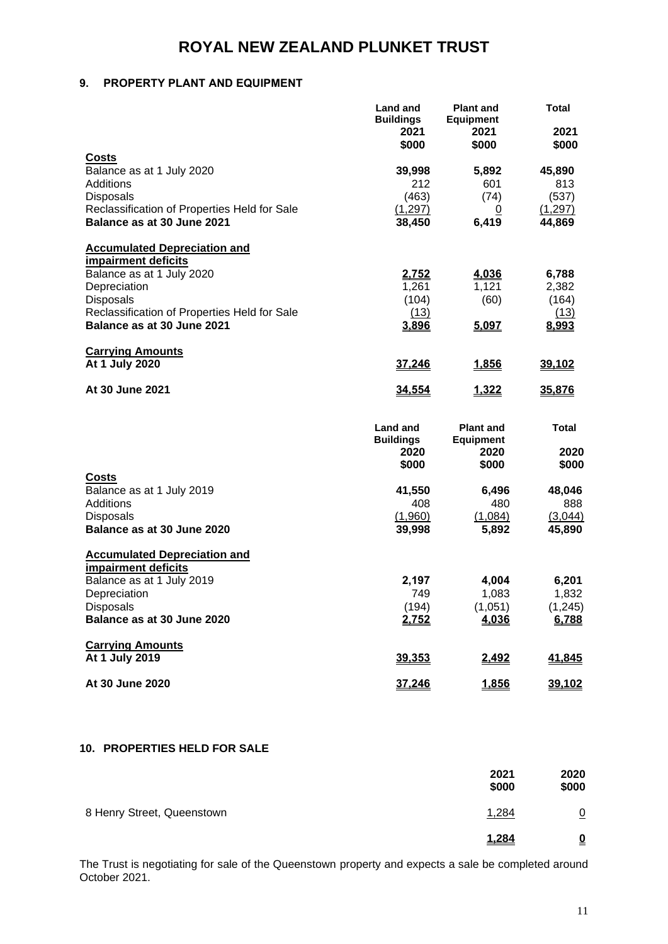#### **9. PROPERTY PLANT AND EQUIPMENT**

|                                                                                                                                                                                                    | <b>Land and</b><br><b>Buildings</b><br>2021<br>\$000 | <b>Plant and</b><br><b>Equipment</b><br>2021<br>\$000 | <b>Total</b><br>2021<br>\$000               |
|----------------------------------------------------------------------------------------------------------------------------------------------------------------------------------------------------|------------------------------------------------------|-------------------------------------------------------|---------------------------------------------|
| Costs<br>Balance as at 1 July 2020<br>Additions<br>Disposals<br>Reclassification of Properties Held for Sale<br>Balance as at 30 June 2021                                                         | 39,998<br>212<br>(463)<br>(1, 297)<br>38,450         | 5,892<br>601<br>(74)<br>0<br>6,419                    | 45,890<br>813<br>(537)<br>(1,297)<br>44,869 |
| <b>Accumulated Depreciation and</b><br>impairment deficits<br>Balance as at 1 July 2020<br>Depreciation<br>Disposals<br>Reclassification of Properties Held for Sale<br>Balance as at 30 June 2021 | 2,752<br>1,261<br>(104)<br>(13)<br>3,896             | 4,036<br>1,121<br>(60)<br>5,097                       | 6,788<br>2,382<br>(164)<br>(13)<br>8,993    |
| <b>Carrying Amounts</b><br>At 1 July 2020                                                                                                                                                          | <u>37,246</u>                                        | 1,856                                                 | 39,102                                      |
| At 30 June 2021                                                                                                                                                                                    | <u>34,554</u>                                        | 1,322                                                 | 35,876                                      |
|                                                                                                                                                                                                    | <b>Land and</b><br><b>Buildings</b><br>2020<br>\$000 | <b>Plant and</b><br><b>Equipment</b><br>2020<br>\$000 | <b>Total</b><br>2020<br>\$000               |
| Costs<br>Balance as at 1 July 2019<br>Additions<br><b>Disposals</b><br>Balance as at 30 June 2020                                                                                                  | 41,550<br>408<br>(1,960)<br>39,998                   | 6,496<br>480<br>(1,084)<br>5,892                      | 48,046<br>888<br>(3,044)<br>45,890          |
| <b>Accumulated Depreciation and</b><br>impairment deficits<br>Balance as at 1 July 2019<br>Depreciation<br>Disposals<br>Balance as at 30 June 2020                                                 | 2,197<br>749<br>(194)<br>2,752                       | 4,004<br>1,083<br>(1,051)<br>4,036                    | 6,201<br>1,832<br>(1, 245)<br>6,788         |
| <b>Carrying Amounts</b><br>At 1 July 2019                                                                                                                                                          | 39,353                                               | 2,492                                                 | 41,845                                      |
| At 30 June 2020                                                                                                                                                                                    | <u>37,246</u>                                        | <u>1,856</u>                                          | <u>39,102</u>                               |

#### **10. PROPERTIES HELD FOR SALE**

|                            | 2021<br>\$000 | 2020<br>\$000            |
|----------------------------|---------------|--------------------------|
| 8 Henry Street, Queenstown | 1,284         | $\overline{0}$           |
|                            | 1,284         | $\underline{\mathbf{0}}$ |

The Trust is negotiating for sale of the Queenstown property and expects a sale be completed around October 2021.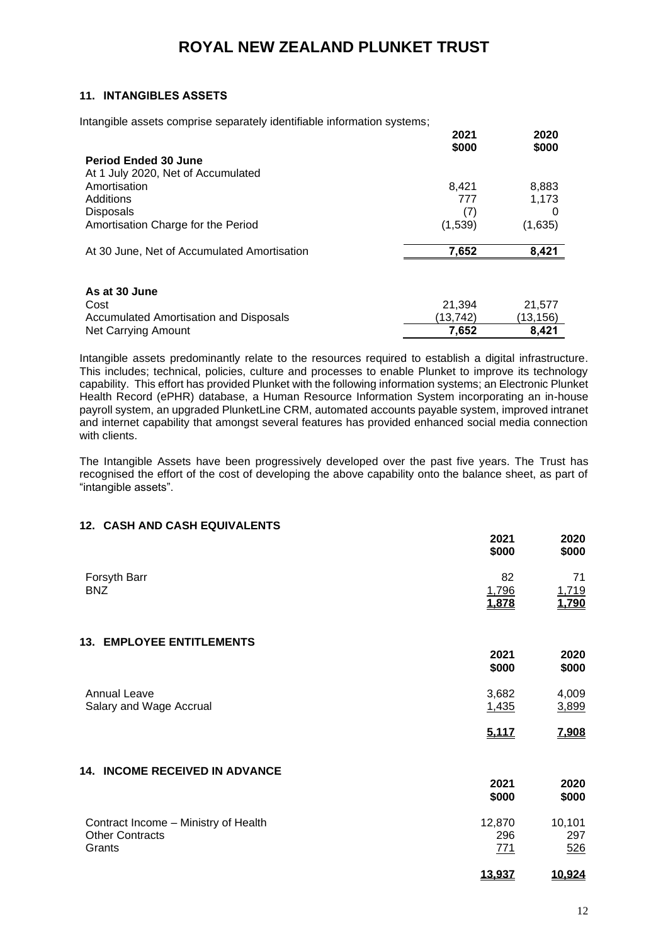#### **11. INTANGIBLES ASSETS**

Intangible assets comprise separately identifiable information systems;

|                                             | 2021<br>\$000 | 2020<br>\$000 |
|---------------------------------------------|---------------|---------------|
| <b>Period Ended 30 June</b>                 |               |               |
| At 1 July 2020, Net of Accumulated          |               |               |
| Amortisation                                | 8,421         | 8,883         |
| Additions                                   | 777           | 1,173         |
| <b>Disposals</b>                            | (7)           |               |
| Amortisation Charge for the Period          | (1,539)       | (1,635)       |
| At 30 June, Net of Accumulated Amortisation | 7,652         | 8,421         |
|                                             |               |               |
| As at 30 June                               |               |               |
| Cost                                        | 21,394        | 21,577        |
| Accumulated Amortisation and Disposals      | (13,742)      | (13,156)      |
| Net Carrying Amount                         | 7,652         | 8.421         |

Intangible assets predominantly relate to the resources required to establish a digital infrastructure. This includes; technical, policies, culture and processes to enable Plunket to improve its technology capability. This effort has provided Plunket with the following information systems; an Electronic Plunket Health Record (ePHR) database, a Human Resource Information System incorporating an in-house payroll system, an upgraded PlunketLine CRM, automated accounts payable system, improved intranet and internet capability that amongst several features has provided enhanced social media connection with clients.

The Intangible Assets have been progressively developed over the past five years. The Trust has recognised the effort of the cost of developing the above capability onto the balance sheet, as part of "intangible assets".

#### **12. CASH AND CASH EQUIVALENTS**

|                                                                          | 2021<br>\$000        | 2020<br>\$000        |
|--------------------------------------------------------------------------|----------------------|----------------------|
| Forsyth Barr<br><b>BNZ</b>                                               | 82<br>1,796<br>1,878 | 71<br>1,719<br>1,790 |
| <b>13. EMPLOYEE ENTITLEMENTS</b>                                         | 2021<br>\$000        | 2020<br>\$000        |
| <b>Annual Leave</b><br>Salary and Wage Accrual                           | 3,682<br>1,435       | 4,009<br>3,899       |
| 14. INCOME RECEIVED IN ADVANCE                                           | 5,117                | 7,908                |
|                                                                          | 2021<br>\$000        | 2020<br>\$000        |
| Contract Income - Ministry of Health<br><b>Other Contracts</b><br>Grants | 12,870<br>296<br>771 | 10,101<br>297<br>526 |
|                                                                          | 13,937               | 10,924               |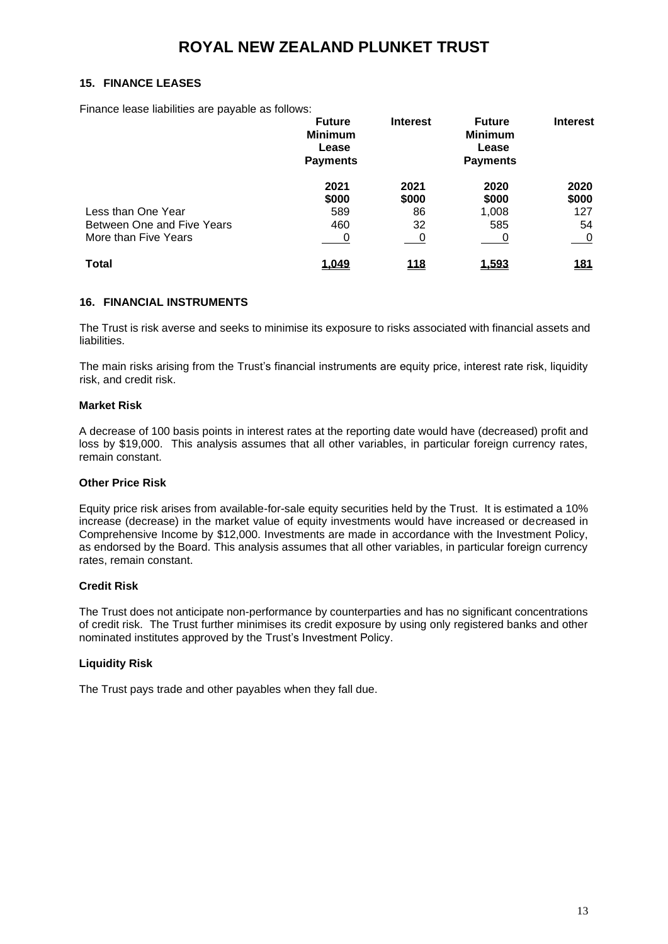#### **15. FINANCE LEASES**

Finance lease liabilities are payable as follows:

|                            | <b>Future</b><br><b>Minimum</b><br>Lease<br><b>Payments</b> | <b>Interest</b> | <b>Future</b><br><b>Minimum</b><br>Lease<br><b>Payments</b> | <b>Interest</b> |
|----------------------------|-------------------------------------------------------------|-----------------|-------------------------------------------------------------|-----------------|
|                            | 2021                                                        | 2021            | 2020                                                        | 2020            |
|                            | \$000                                                       | \$000           | \$000                                                       | \$000           |
| Less than One Year         | 589                                                         | 86              | 1,008                                                       | 127             |
| Between One and Five Years | 460                                                         | 32              | 585                                                         | 54              |
| More than Five Years       | 0                                                           | $\sim 0$        |                                                             | <u>__ 0</u>     |
| Total                      | 1,049                                                       | <u> 118</u>     | 1,593                                                       | <u>181</u>      |

#### **16. FINANCIAL INSTRUMENTS**

The Trust is risk averse and seeks to minimise its exposure to risks associated with financial assets and liabilities.

The main risks arising from the Trust's financial instruments are equity price, interest rate risk, liquidity risk, and credit risk.

#### **Market Risk**

A decrease of 100 basis points in interest rates at the reporting date would have (decreased) profit and loss by \$19,000. This analysis assumes that all other variables, in particular foreign currency rates, remain constant.

#### **Other Price Risk**

Equity price risk arises from available-for-sale equity securities held by the Trust. It is estimated a 10% increase (decrease) in the market value of equity investments would have increased or decreased in Comprehensive Income by \$12,000. Investments are made in accordance with the Investment Policy, as endorsed by the Board. This analysis assumes that all other variables, in particular foreign currency rates, remain constant.

#### **Credit Risk**

The Trust does not anticipate non-performance by counterparties and has no significant concentrations of credit risk. The Trust further minimises its credit exposure by using only registered banks and other nominated institutes approved by the Trust's Investment Policy.

#### **Liquidity Risk**

The Trust pays trade and other payables when they fall due.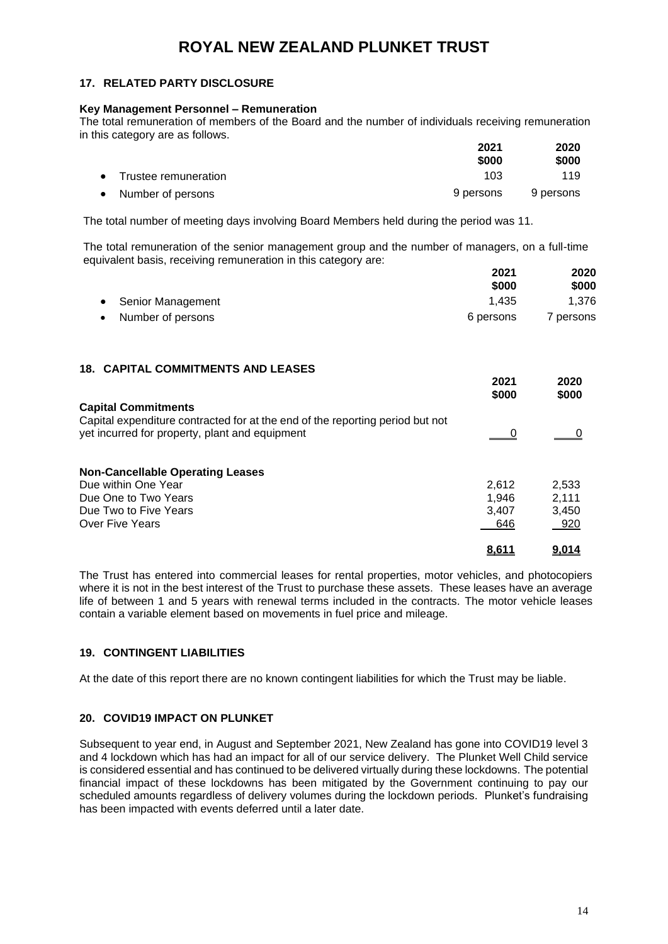#### **17. RELATED PARTY DISCLOSURE**

#### **Key Management Personnel – Remuneration**

The total remuneration of members of the Board and the number of individuals receiving remuneration in this category are as follows.

|                        | 2021<br>\$000 | 2020<br>\$000 |
|------------------------|---------------|---------------|
| • Trustee remuneration | 103           | 119           |
| Number of persons      | 9 persons     | 9 persons     |

The total number of meeting days involving Board Members held during the period was 11.

The total remuneration of the senior management group and the number of managers, on a full-time equivalent basis, receiving remuneration in this category are:

|                     | 2021      |           |
|---------------------|-----------|-----------|
|                     | \$000     | \$000     |
| • Senior Management | 1.435     | 1.376     |
| • Number of persons | 6 persons | 7 persons |

#### **18. CAPITAL COMMITMENTS AND LEASES**

|                                                                               | 2021<br>\$000 | 2020<br>\$000 |
|-------------------------------------------------------------------------------|---------------|---------------|
| <b>Capital Commitments</b>                                                    |               |               |
| Capital expenditure contracted for at the end of the reporting period but not |               |               |
| yet incurred for property, plant and equipment                                |               |               |
| <b>Non-Cancellable Operating Leases</b>                                       |               |               |
| Due within One Year                                                           | 2.612         | 2,533         |
| Due One to Two Years                                                          | 1.946         | 2,111         |
| Due Two to Five Years                                                         | 3.407         | 3.450         |
| Over Five Years                                                               | 646           | 920           |
|                                                                               | <u>8.611</u>  | <u>9.014</u>  |

The Trust has entered into commercial leases for rental properties, motor vehicles, and photocopiers where it is not in the best interest of the Trust to purchase these assets. These leases have an average life of between 1 and 5 years with renewal terms included in the contracts. The motor vehicle leases contain a variable element based on movements in fuel price and mileage.

#### **19. CONTINGENT LIABILITIES**

At the date of this report there are no known contingent liabilities for which the Trust may be liable.

#### **20. COVID19 IMPACT ON PLUNKET**

Subsequent to year end, in August and September 2021, New Zealand has gone into COVID19 level 3 and 4 lockdown which has had an impact for all of our service delivery. The Plunket Well Child service is considered essential and has continued to be delivered virtually during these lockdowns. The potential financial impact of these lockdowns has been mitigated by the Government continuing to pay our scheduled amounts regardless of delivery volumes during the lockdown periods. Plunket's fundraising has been impacted with events deferred until a later date.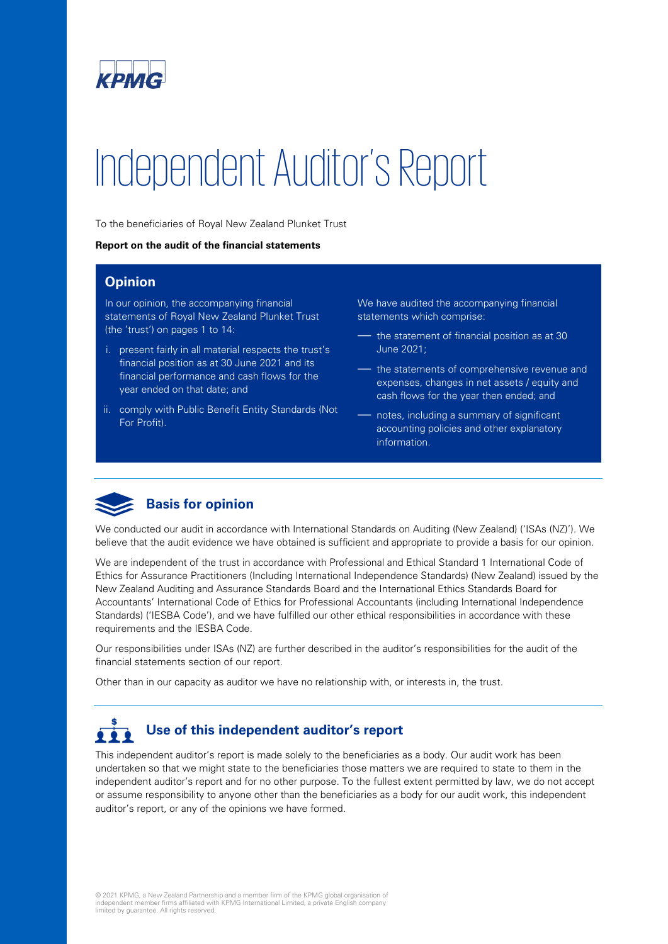

# Independent Auditor's Report

To the beneficiaries of Royal New Zealand Plunket Trust

#### **Report on the audit of the financial statements**

#### **Opinion**

In our opinion, the accompanying financial statements of Royal New Zealand Plunket Trust (the 'trust') on pages 1 to 14:

- i. present fairly in all material respects the trust's financial position as at 30 June 2021 and its financial performance and cash flows for the year ended on that date; and
- ii. comply with Public Benefit Entity Standards (Not For Profit).

We have audited the accompanying financial statements which comprise:

- the statement of financial position as at 30 June 2021;
- the statements of comprehensive revenue and expenses, changes in net assets / equity and cash flows for the year then ended; and
- notes, including a summary of significant accounting policies and other explanatory information.



#### **Basis for opinion**

We conducted our audit in accordance with International Standards on Auditing (New Zealand) ('ISAs (NZ)'). We believe that the audit evidence we have obtained is sufficient and appropriate to provide a basis for our opinion.

We are independent of the trust in accordance with Professional and Ethical Standard 1 International Code of Ethics for Assurance Practitioners (Including International Independence Standards) (New Zealand) issued by the New Zealand Auditing and Assurance Standards Board and the International Ethics Standards Board for Accountants' International Code of Ethics for Professional Accountants (including International Independence Standards) ('IESBA Code'), and we have fulfilled our other ethical responsibilities in accordance with these requirements and the IESBA Code.

Our responsibilities under ISAs (NZ) are further described in the auditor's responsibilities for the audit of the financial statements section of our report.

Other than in our capacity as auditor we have no relationship with, or interests in, the trust.

#### **Use of this independent auditor's report**   $222$

This independent auditor's report is made solely to the beneficiaries as a body. Our audit work has been undertaken so that we might state to the beneficiaries those matters we are required to state to them in the independent auditor's report and for no other purpose. To the fullest extent permitted by law, we do not accept or assume responsibility to anyone other than the beneficiaries as a body for our audit work, this independent auditor's report, or any of the opinions we have formed.